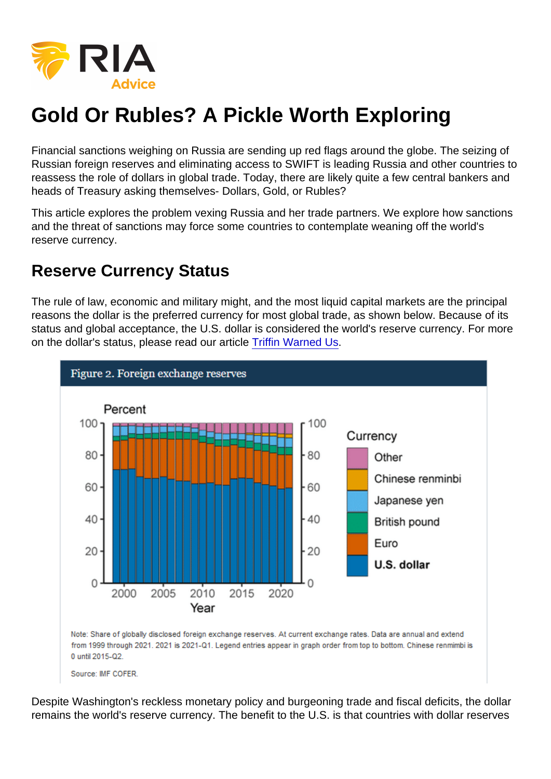# Gold Or Rubles? A Pickle Worth Exploring

Financial sanctions weighing on Russia are sending up red flags around the globe. The seizing of Russian foreign reserves and eliminating access to SWIFT is leading Russia and other countries to reassess the role of dollars in global trade. Today, there are likely quite a few central bankers and heads of Treasury asking themselves- Dollars, Gold, or Rubles?

This article explores the problem vexing Russia and her trade partners. We explore how sanctions and the threat of sanctions may force some countries to contemplate weaning off the world's reserve currency.

### Reserve Currency Status

The rule of law, economic and military might, and the most liquid capital markets are the principal reasons the dollar is the preferred currency for most global trade, as shown below. Because of its status and global acceptance, the U.S. dollar is considered the world's reserve currency. For more on the dollar's status, please read our article [Triffin Warned Us.](https://realinvestmentadvice.com/triffin-warned-us/)

Despite Washington's reckless monetary policy and burgeoning trade and fiscal deficits, the dollar remains the world's reserve currency. The benefit to the U.S. is that countries with dollar reserves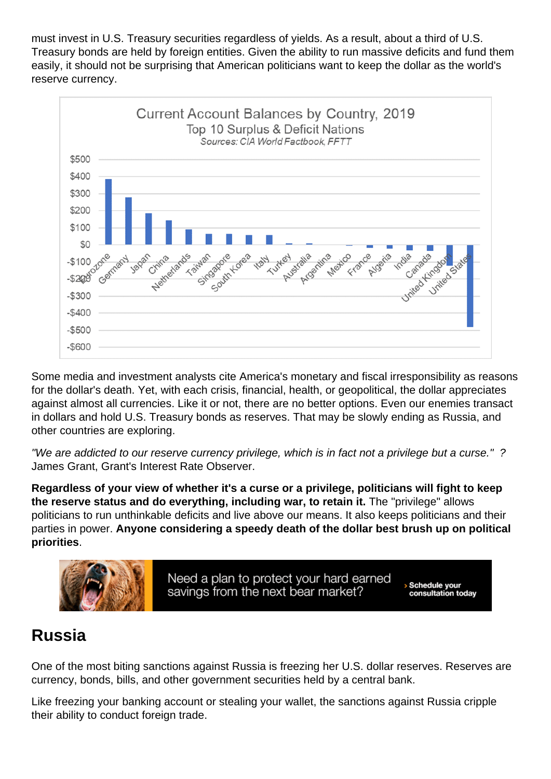must invest in U.S. Treasury securities regardless of yields. As a result, about a third of U.S. Treasury bonds are held by foreign entities. Given the ability to run massive deficits and fund them easily, it should not be surprising that American politicians want to keep the dollar as the world's reserve currency.

Some media and investment analysts cite America's monetary and fiscal irresponsibility as reasons for the dollar's death. Yet, with each crisis, financial, health, or geopolitical, the dollar appreciates against almost all currencies. Like it or not, there are no better options. Even our enemies transact in dollars and hold U.S. Treasury bonds as reserves. That may be slowly ending as Russia, and other countries are exploring.

"We are addicted to our reserve currency privilege, which is in fact not a privilege but a curse." ? James Grant, Grant's Interest Rate Observer.

Regardless of your view of whether it's a curse or a privilege, politicians will fight to keep the reserve status and do everything, including war, to retain it. The "privilege" allows politicians to run unthinkable deficits and live above our means. It also keeps politicians and their parties in power. Anyone considering a speedy death of the dollar best brush up on political priorities .

#### Russia

One of the most biting sanctions against Russia is freezing her U.S. dollar reserves. Reserves are currency, bonds, bills, and other government securities held by a central bank.

Like freezing your banking account or stealing your wallet, the sanctions against Russia cripple their ability to conduct foreign trade.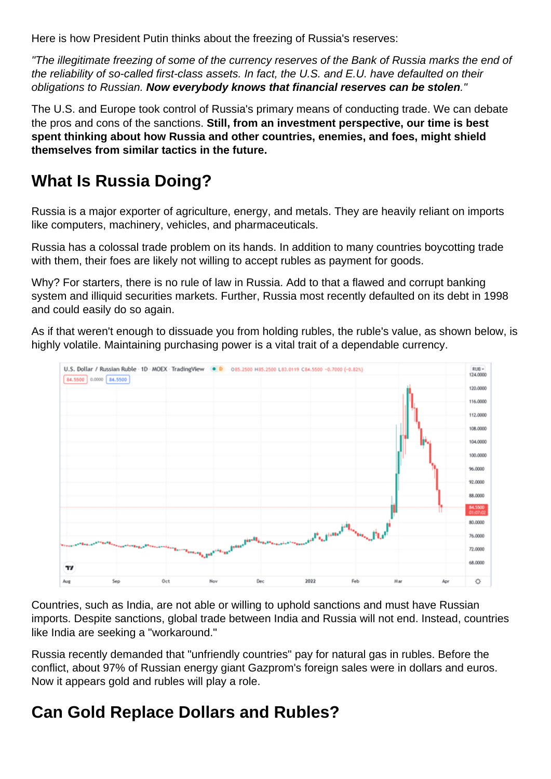Here is how President Putin thinks about the freezing of Russia's reserves:

"The illegitimate freezing of some of the currency reserves of the Bank of Russia marks the end of the reliability of so-called first-class assets. In fact, the U.S. and E.U. have defaulted on their obligations to Russian. Now everybody knows that financial reserves can be stolen

The U.S. and Europe took control of Russia's primary means of conducting trade. We can debate the pros and cons of the sanctions. Still, from an investment perspective, our time is best spent thinking about how Russia and other countries, enemies, and foes, might shield themselves from similar tactics in the future.

### What Is Russia Doing?

Russia is a major exporter of agriculture, energy, and metals. They are heavily reliant on imports like computers, machinery, vehicles, and pharmaceuticals.

Russia has a colossal trade problem on its hands. In addition to many countries boycotting trade with them, their foes are likely not willing to accept rubles as payment for goods.

Why? For starters, there is no rule of law in Russia. Add to that a flawed and corrupt banking system and illiquid securities markets. Further, Russia most recently defaulted on its debt in 1998 and could easily do so again.

As if that weren't enough to dissuade you from holding rubles, the ruble's value, as shown below, is highly volatile. Maintaining purchasing power is a vital trait of a dependable currency.

Countries, such as India, are not able or willing to uphold sanctions and must have Russian imports. Despite sanctions, global trade between India and Russia will not end. Instead, countries like India are seeking a "workaround."

Russia recently demanded that "unfriendly countries" pay for natural gas in rubles. Before the conflict, about 97% of Russian energy giant Gazprom's foreign sales were in dollars and euros. Now it appears gold and rubles will play a role.

## Can Gold Replace Dollars and Rubles?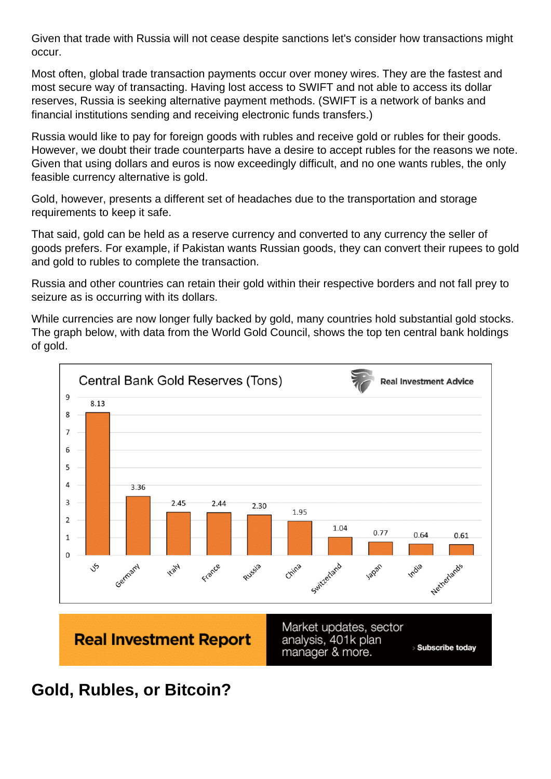Given that trade with Russia will not cease despite sanctions let's consider how transactions might occur.

Most often, global trade transaction payments occur over money wires. They are the fastest and most secure way of transacting. Having lost access to SWIFT and not able to access its dollar reserves, Russia is seeking alternative payment methods. (SWIFT is a network of banks and financial institutions sending and receiving electronic funds transfers.)

Russia would like to pay for foreign goods with rubles and receive gold or rubles for their goods. However, we doubt their trade counterparts have a desire to accept rubles for the reasons we note. Given that using dollars and euros is now exceedingly difficult, and no one wants rubles, the only feasible currency alternative is gold.

Gold, however, presents a different set of headaches due to the transportation and storage requirements to keep it safe.

That said, gold can be held as a reserve currency and converted to any currency the seller of goods prefers. For example, if Pakistan wants Russian goods, they can convert their rupees to gold and gold to rubles to complete the transaction.

Russia and other countries can retain their gold within their respective borders and not fall prey to seizure as is occurring with its dollars.

While currencies are now longer fully backed by gold, many countries hold substantial gold stocks. The graph below, with data from the World Gold Council, shows the top ten central bank holdings of gold.

Gold, Rubles, or Bitcoin?